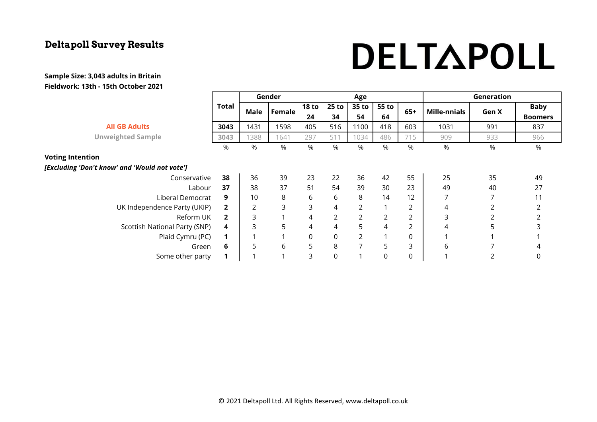# DELTAPOLL

|                                               |                | Gender         |                | Age            |                |                |       |             | Generation          |       |                |
|-----------------------------------------------|----------------|----------------|----------------|----------------|----------------|----------------|-------|-------------|---------------------|-------|----------------|
|                                               | Total          | Male           | <b>Female</b>  | <b>18 to</b>   | 25 to          | 35 to          | 55 to | $65+$<br>64 | <b>Mille-nnials</b> | Gen X | <b>Baby</b>    |
|                                               |                |                |                | 24             | 34             | 54             |       |             |                     |       | <b>Boomers</b> |
| <b>All GB Adults</b>                          | 3043           | 1431           | 1598           | 405            | 516            | 1100           | 418   | 603         | 1031                | 991   | 837            |
| <b>Unweighted Sample</b>                      | 3043           | 1388           | 1641           | 297            | 511            | 1034           | 486   | 715         | 909                 | 933   | 966            |
|                                               | $\%$           | %              | %              | %              | %              | %              | %     | %           | %                   | %     | $\%$           |
| <b>Voting Intention</b>                       |                |                |                |                |                |                |       |             |                     |       |                |
| [Excluding 'Don't know' and 'Would not vote'] |                |                |                |                |                |                |       |             |                     |       |                |
| Conservative                                  | 38             | 36             | 39             | 23             | 22             | 36             | 42    | 55          | 25                  | 35    | 49             |
| Labour                                        | 37             | 38             | 37             | 51             | 54             | 39             | 30    | 23          | 49                  | 40    | 27             |
| Liberal Democrat                              | 9              | 10             | 8              | 6              | 6              | 8              | 14    | 12          | 7                   |       | 11             |
| UK Independence Party (UKIP)                  | $\overline{2}$ | $\overline{2}$ | 3              | 3              | 4              | $\overline{2}$ |       | 2           | 4                   |       | 2              |
| Reform UK                                     | $\overline{2}$ | 3              | -4             | $\overline{4}$ | $\overline{2}$ | 2              | 2     | 2           | 3                   | 2     | $\overline{2}$ |
| Scottish National Party (SNP)                 | 4              | 3              | 5              | 4              | 4              | 5              | 4     | 2           | 4                   | 5     | 3              |
| Plaid Cymru (PC)                              | $\mathbf 1$    |                |                | 0              | 0              | $\overline{2}$ |       | 0           |                     |       |                |
| Green                                         | 6              | 5              | 6              | 5              | 8              | $\overline{7}$ | 5     | 3           | 6                   |       | 4              |
| Some other party                              | 1              |                | $\overline{ }$ | 3              | 0              |                | 0     | 0           |                     |       | 0              |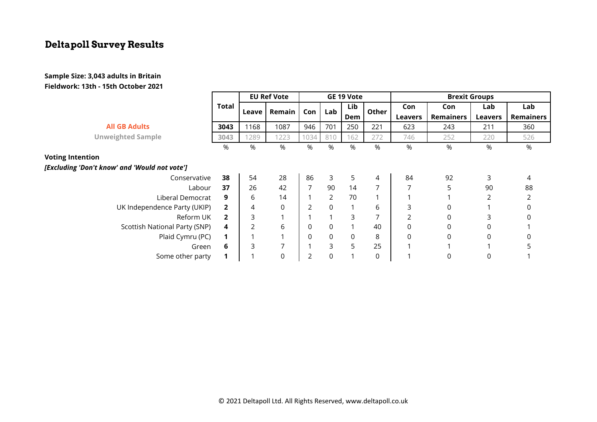|                                               |                | <b>EU Ref Vote</b> |          | GE 19 Vote     |                |             | <b>Brexit Groups</b> |                |             |                |                  |
|-----------------------------------------------|----------------|--------------------|----------|----------------|----------------|-------------|----------------------|----------------|-------------|----------------|------------------|
|                                               | Total          | Leave              | Remain   | Con            | Lab            | Lib<br>Dem  | Other                | Con            | Con         | Lab            | Lab              |
|                                               |                |                    |          |                |                |             |                      | Leavers        | Remainers   | <b>Leavers</b> | <b>Remainers</b> |
| <b>All GB Adults</b>                          | 3043           | 1168               | 1087     | 946            | 701            | 250         | 221                  | 623            | 243         | 211            | 360              |
| <b>Unweighted Sample</b>                      | 3043           | 1289               | 1223     | 1034           | 810            | 162         | 272                  | 746            | 252         | 220            | 526              |
|                                               | %              | %                  | %        | %              | %              | %           | %                    | %              | %           | %              | %                |
| <b>Voting Intention</b>                       |                |                    |          |                |                |             |                      |                |             |                |                  |
| [Excluding 'Don't know' and 'Would not vote'] |                |                    |          |                |                |             |                      |                |             |                |                  |
| Conservative                                  | 38             | 54                 | 28       | 86             | 3              | 5           | 4                    | 84             | 92          | 3              | 4                |
| Labour                                        | 37             | 26                 | 42       | $\overline{7}$ | 90             | 14          | $\overline{7}$       | 7              | 5           | 90             | 88               |
| Liberal Democrat                              | 9              | 6                  | 14       |                | $\overline{2}$ | 70          |                      |                |             | $\overline{2}$ |                  |
| UK Independence Party (UKIP)                  | $\overline{2}$ | 4                  | $\Omega$ | $\overline{2}$ | $\mathbf 0$    |             | 6                    | 3              | 0           |                |                  |
| Reform UK                                     | $\overline{2}$ | 3                  |          |                |                | 3           | $\overline{7}$       | $\overline{2}$ | 0           | 3              |                  |
| Scottish National Party (SNP)                 | 4              |                    | 6        | 0              | $\mathbf 0$    |             | 40                   | $\mathbf 0$    | 0           | $\Omega$       |                  |
| Plaid Cymru (PC)                              | 1              |                    |          | 0              | $\mathsf 0$    | $\mathsf 0$ | 8                    | $\mathbf 0$    | $\mathbf 0$ | $\mathbf 0$    | 0                |
| Green                                         | 6              | 3                  |          |                | 3              | 5           | 25                   |                |             |                |                  |
| Some other party                              |                |                    | $\Omega$ | 2              | 0              |             | 0                    |                | 0           | $\mathbf 0$    |                  |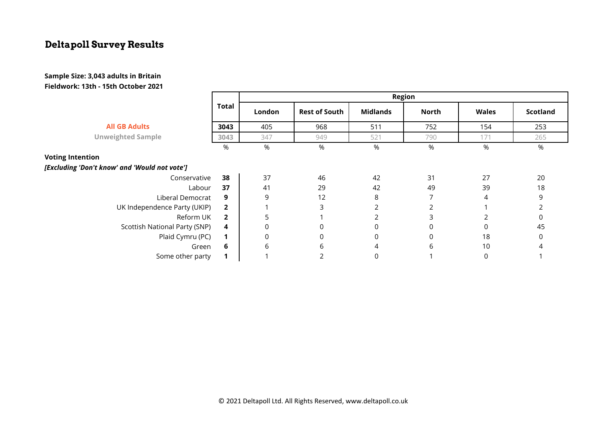|                                               |                | <b>Region</b> |                      |                 |              |              |                 |  |  |  |  |
|-----------------------------------------------|----------------|---------------|----------------------|-----------------|--------------|--------------|-----------------|--|--|--|--|
|                                               | <b>Total</b>   | London        | <b>Rest of South</b> | <b>Midlands</b> | <b>North</b> | <b>Wales</b> | <b>Scotland</b> |  |  |  |  |
| <b>All GB Adults</b>                          | 3043           | 405           | 968                  | 511             | 752          | 154          | 253             |  |  |  |  |
| <b>Unweighted Sample</b>                      | 3043           | 347           | 949                  | 521             | 790          | 171          | 265             |  |  |  |  |
|                                               | %              | %             | %                    | %               | %            | %            | %               |  |  |  |  |
| <b>Voting Intention</b>                       |                |               |                      |                 |              |              |                 |  |  |  |  |
| [Excluding 'Don't know' and 'Would not vote'] |                |               |                      |                 |              |              |                 |  |  |  |  |
| Conservative                                  | 38             | 37            | 46                   | 42              | 31           | 27           | 20              |  |  |  |  |
| Labour                                        | 37             | 41            | 29                   | 42              | 49           | 39           | 18              |  |  |  |  |
| Liberal Democrat                              | 9              | 9             | 12                   | 8               |              | 4            | 9               |  |  |  |  |
| UK Independence Party (UKIP)                  | $\overline{2}$ |               | 3                    |                 |              |              |                 |  |  |  |  |
| Reform UK                                     | $\overline{2}$ | 5             |                      |                 | 3            |              | $\Omega$        |  |  |  |  |
| Scottish National Party (SNP)                 | 4              | 0             | 0                    | 0               | 0            |              | 45              |  |  |  |  |
| Plaid Cymru (PC)                              | 1              | 0             | 0                    | 0               | 0            | 18           | 0               |  |  |  |  |
| Green                                         | 6              | 6             | 6                    | 4               | 6            | 10           |                 |  |  |  |  |
| Some other party                              | 1              |               |                      | 0               |              | $\Omega$     |                 |  |  |  |  |